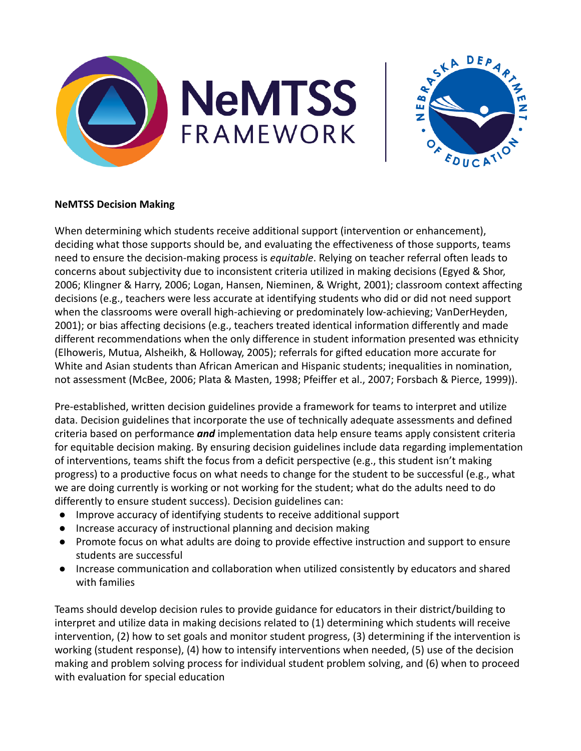



## **NeMTSS Decision Making**

When determining which students receive additional support (intervention or enhancement), deciding what those supports should be, and evaluating the effectiveness of those supports, teams need to ensure the decision-making process is *equitable*. Relying on teacher referral often leads to concerns about subjectivity due to inconsistent criteria utilized in making decisions (Egyed & Shor, 2006; Klingner & Harry, 2006; Logan, Hansen, Nieminen, & Wright, 2001); classroom context affecting decisions (e.g., teachers were less accurate at identifying students who did or did not need support when the classrooms were overall high-achieving or predominately low-achieving; VanDerHeyden, 2001); or bias affecting decisions (e.g., teachers treated identical information differently and made different recommendations when the only difference in student information presented was ethnicity (Elhoweris, Mutua, Alsheikh, & Holloway, 2005); referrals for gifted education more accurate for White and Asian students than African American and Hispanic students; inequalities in nomination, not assessment (McBee, 2006; Plata & Masten, 1998; Pfeiffer et al., 2007; Forsbach & Pierce, 1999)).

Pre-established, written decision guidelines provide a framework for teams to interpret and utilize data. Decision guidelines that incorporate the use of technically adequate assessments and defined criteria based on performance *and* implementation data help ensure teams apply consistent criteria for equitable decision making. By ensuring decision guidelines include data regarding implementation of interventions, teams shift the focus from a deficit perspective (e.g., this student isn't making progress) to a productive focus on what needs to change for the student to be successful (e.g., what we are doing currently is working or not working for the student; what do the adults need to do differently to ensure student success). Decision guidelines can:

- Improve accuracy of identifying students to receive additional support
- Increase accuracy of instructional planning and decision making
- Promote focus on what adults are doing to provide effective instruction and support to ensure students are successful
- Increase communication and collaboration when utilized consistently by educators and shared with families

Teams should develop decision rules to provide guidance for educators in their district/building to interpret and utilize data in making decisions related to (1) determining which students will receive intervention, (2) how to set goals and monitor student progress, (3) determining if the intervention is working (student response), (4) how to intensify interventions when needed, (5) use of the decision making and problem solving process for individual student problem solving, and (6) when to proceed with evaluation for special education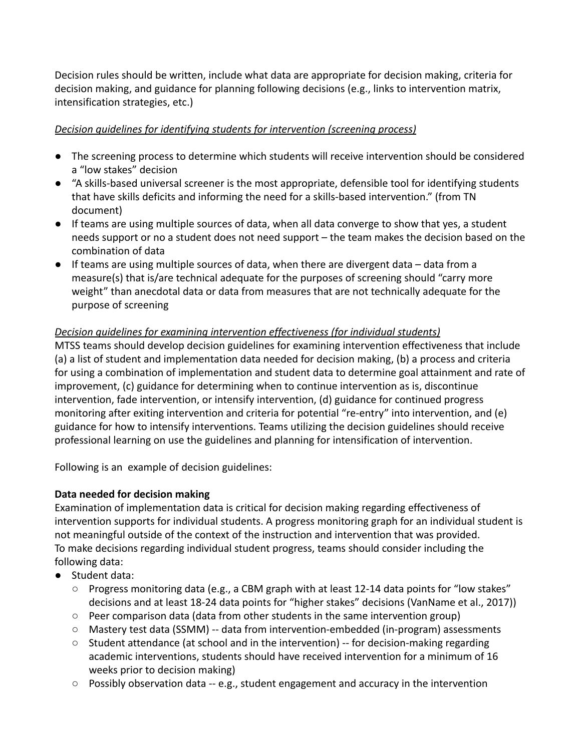Decision rules should be written, include what data are appropriate for decision making, criteria for decision making, and guidance for planning following decisions (e.g., links to intervention matrix, intensification strategies, etc.)

## *Decision guidelines for identifying students for intervention (screening process)*

- The screening process to determine which students will receive intervention should be considered a "low stakes" decision
- "A skills-based universal screener is the most appropriate, defensible tool for identifying students that have skills deficits and informing the need for a skills-based intervention." (from TN document)
- If teams are using multiple sources of data, when all data converge to show that yes, a student needs support or no a student does not need support – the team makes the decision based on the combination of data
- $\bullet$  If teams are using multiple sources of data, when there are divergent data data from a measure(s) that is/are technical adequate for the purposes of screening should "carry more weight" than anecdotal data or data from measures that are not technically adequate for the purpose of screening

# *Decision guidelines for examining intervention effectiveness (for individual students)*

MTSS teams should develop decision guidelines for examining intervention effectiveness that include (a) a list of student and implementation data needed for decision making, (b) a process and criteria for using a combination of implementation and student data to determine goal attainment and rate of improvement, (c) guidance for determining when to continue intervention as is, discontinue intervention, fade intervention, or intensify intervention, (d) guidance for continued progress monitoring after exiting intervention and criteria for potential "re-entry" into intervention, and (e) guidance for how to intensify interventions. Teams utilizing the decision guidelines should receive professional learning on use the guidelines and planning for intensification of intervention.

Following is an example of decision guidelines:

# **Data needed for decision making**

Examination of implementation data is critical for decision making regarding effectiveness of intervention supports for individual students. A progress monitoring graph for an individual student is not meaningful outside of the context of the instruction and intervention that was provided. To make decisions regarding individual student progress, teams should consider including the following data:

- Student data:
	- Progress monitoring data (e.g., a CBM graph with at least 12-14 data points for "low stakes" decisions and at least 18-24 data points for "higher stakes" decisions (VanName et al., 2017))
	- $\circ$  Peer comparison data (data from other students in the same intervention group)
	- Mastery test data (SSMM) -- data from intervention-embedded (in-program) assessments
	- $\circ$  Student attendance (at school and in the intervention) -- for decision-making regarding academic interventions, students should have received intervention for a minimum of 16 weeks prior to decision making)
	- Possibly observation data -- e.g., student engagement and accuracy in the intervention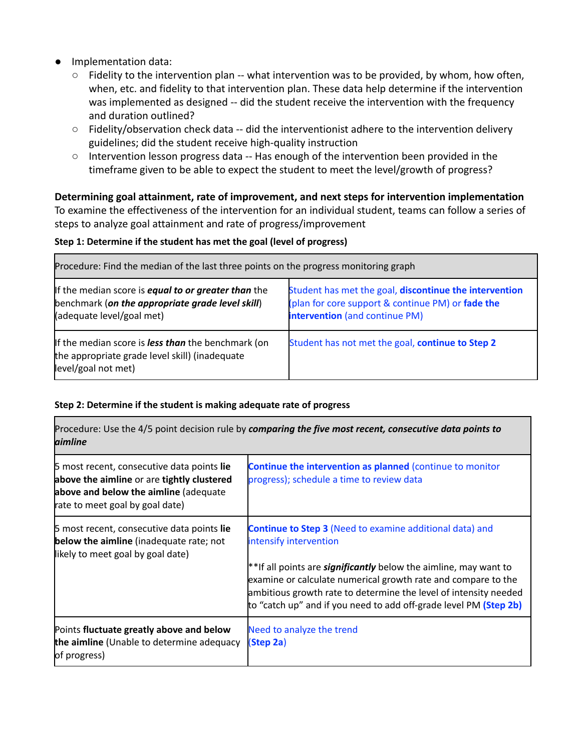- Implementation data:
	- Fidelity to the intervention plan -- what intervention was to be provided, by whom, how often, when, etc. and fidelity to that intervention plan. These data help determine if the intervention was implemented as designed -- did the student receive the intervention with the frequency and duration outlined?
	- $\circ$  Fidelity/observation check data -- did the interventionist adhere to the intervention delivery guidelines; did the student receive high-quality instruction
	- Intervention lesson progress data -- Has enough of the intervention been provided in the timeframe given to be able to expect the student to meet the level/growth of progress?

**Determining goal attainment, rate of improvement, and next steps for intervention implementation** To examine the effectiveness of the intervention for an individual student, teams can follow a series of steps to analyze goal attainment and rate of progress/improvement

## **Step 1: Determine if the student has met the goal (level of progress)**

| Procedure: Find the median of the last three points on the progress monitoring graph                                                        |                                                                                                                                                      |  |
|---------------------------------------------------------------------------------------------------------------------------------------------|------------------------------------------------------------------------------------------------------------------------------------------------------|--|
| If the median score is <b>equal to or greater than</b> the<br>benchmark (on the appropriate grade level skill)<br>(adequate level/goal met) | Student has met the goal, discontinue the intervention<br>(plan for core support & continue PM) or fade the<br><b>intervention</b> (and continue PM) |  |
| If the median score is less than the benchmark (on<br>the appropriate grade level skill) (inadequate<br>level/goal not met)                 | Student has not met the goal, continue to Step 2                                                                                                     |  |

## **Step 2: Determine if the student is making adequate rate of progress**

| Procedure: Use the 4/5 point decision rule by comparing the five most recent, consecutive data points to<br>aimline                                                  |                                                                                                                                                                                                                                                                                                                                                                                |  |
|----------------------------------------------------------------------------------------------------------------------------------------------------------------------|--------------------------------------------------------------------------------------------------------------------------------------------------------------------------------------------------------------------------------------------------------------------------------------------------------------------------------------------------------------------------------|--|
| 5 most recent, consecutive data points lie<br>above the aimline or are tightly clustered<br>above and below the aimline (adequate<br>rate to meet goal by goal date) | Continue the intervention as planned (continue to monitor<br>progress); schedule a time to review data                                                                                                                                                                                                                                                                         |  |
| 5 most recent, consecutive data points lie<br><b>below the aimline</b> (inadequate rate; not<br>likely to meet goal by goal date)                                    | <b>Continue to Step 3</b> (Need to examine additional data) and<br>intensify intervention<br>**If all points are <b>significantly</b> below the aimline, may want to<br>examine or calculate numerical growth rate and compare to the<br>ambitious growth rate to determine the level of intensity needed<br>to "catch up" and if you need to add off-grade level PM (Step 2b) |  |
| Points fluctuate greatly above and below<br>the aimline (Unable to determine adequacy<br>of progress)                                                                | Need to analyze the trend<br>(Step 2a)                                                                                                                                                                                                                                                                                                                                         |  |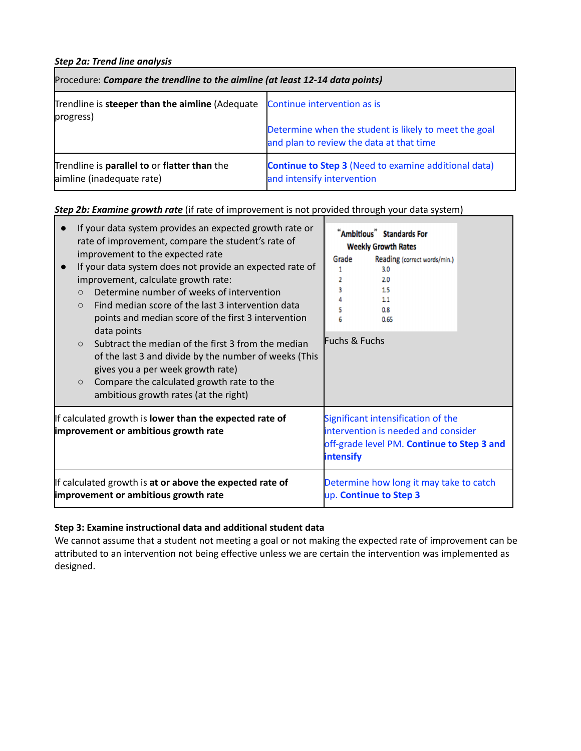### *Step 2a: Trend line analysis*

| Procedure: Compare the trendline to the aimline (at least 12-14 data points) |                                                                                                   |  |
|------------------------------------------------------------------------------|---------------------------------------------------------------------------------------------------|--|
| Trendline is steeper than the aimline (Adequate<br>progress)                 | Continue intervention as is                                                                       |  |
|                                                                              | Determine when the student is likely to meet the goal<br>and plan to review the data at that time |  |
| Trendline is parallel to or flatter than the<br>aimline (inadequate rate)    | <b>Continue to Step 3 (Need to examine additional data)</b><br>and intensify intervention         |  |

# *Step 2b: Examine growth rate* (if rate of improvement is not provided through your data system)

| If your data system provides an expected growth rate or<br>rate of improvement, compare the student's rate of<br>improvement to the expected rate<br>If your data system does not provide an expected rate of<br>improvement, calculate growth rate:<br>Determine number of weeks of intervention<br>$\circ$<br>Find median score of the last 3 intervention data<br>$\circ$<br>points and median score of the first 3 intervention<br>data points<br>Subtract the median of the first 3 from the median<br>$\circ$<br>of the last 3 and divide by the number of weeks (This<br>gives you a per week growth rate)<br>Compare the calculated growth rate to the<br>$\circ$<br>ambitious growth rates (at the right) |                                                                                                        | Grade<br>2<br>Fuchs & Fuchs | "Ambitious" Standards For<br><b>Weekly Growth Rates</b><br>Reading (correct words/min.)<br>3.0<br>2.0<br>1.5<br>0.8<br>0.65 |  |
|--------------------------------------------------------------------------------------------------------------------------------------------------------------------------------------------------------------------------------------------------------------------------------------------------------------------------------------------------------------------------------------------------------------------------------------------------------------------------------------------------------------------------------------------------------------------------------------------------------------------------------------------------------------------------------------------------------------------|--------------------------------------------------------------------------------------------------------|-----------------------------|-----------------------------------------------------------------------------------------------------------------------------|--|
|                                                                                                                                                                                                                                                                                                                                                                                                                                                                                                                                                                                                                                                                                                                    | If calculated growth is <b>lower than the expected rate of</b><br>improvement or ambitious growth rate | <b>intensify</b>            | Significant intensification of the<br>intervention is needed and consider<br>off-grade level PM. Continue to Step 3 and     |  |
|                                                                                                                                                                                                                                                                                                                                                                                                                                                                                                                                                                                                                                                                                                                    | If calculated growth is at or above the expected rate of<br>improvement or ambitious growth rate       |                             | Determine how long it may take to catch<br>up. Continue to Step 3                                                           |  |

### **Step 3: Examine instructional data and additional student data**

We cannot assume that a student not meeting a goal or not making the expected rate of improvement can be attributed to an intervention not being effective unless we are certain the intervention was implemented as designed.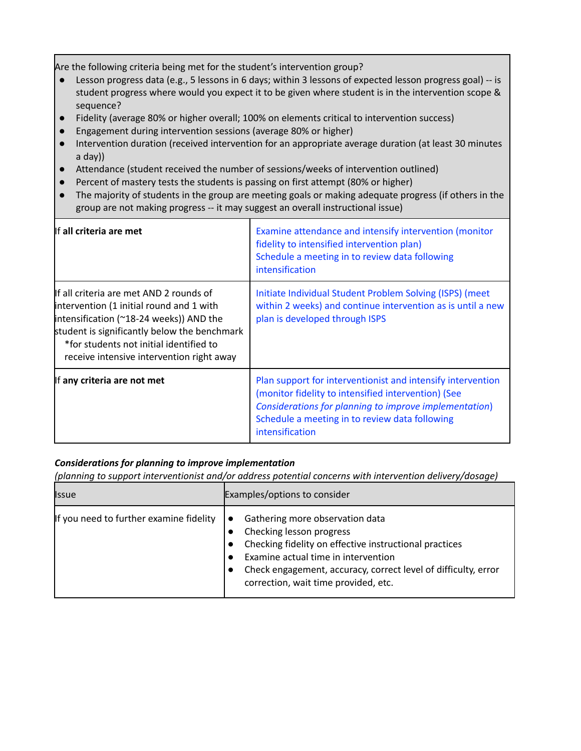Are the following criteria being met for the student's intervention group?

- Lesson progress data (e.g., 5 lessons in 6 days; within 3 lessons of expected lesson progress goal) -- is student progress where would you expect it to be given where student is in the intervention scope & sequence?
- Fidelity (average 80% or higher overall; 100% on elements critical to intervention success)
- Engagement during intervention sessions (average 80% or higher)
- Intervention duration (received intervention for an appropriate average duration (at least 30 minutes a day))
- Attendance (student received the number of sessions/weeks of intervention outlined)
- Percent of mastery tests the students is passing on first attempt (80% or higher)
- The majority of students in the group are meeting goals or making adequate progress (if others in the group are not making progress -- it may suggest an overall instructional issue)

| If all criteria are met                                                                                                                                                                                                                                                          | Examine attendance and intensify intervention (monitor<br>fidelity to intensified intervention plan)<br>Schedule a meeting in to review data following<br>intensification                                                                         |
|----------------------------------------------------------------------------------------------------------------------------------------------------------------------------------------------------------------------------------------------------------------------------------|---------------------------------------------------------------------------------------------------------------------------------------------------------------------------------------------------------------------------------------------------|
| If all criteria are met AND 2 rounds of<br>intervention (1 initial round and 1 with<br>intensification ( $^{\sim}$ 18-24 weeks)) AND the<br>student is significantly below the benchmark<br>*for students not initial identified to<br>receive intensive intervention right away | Initiate Individual Student Problem Solving (ISPS) (meet<br>within 2 weeks) and continue intervention as is until a new<br>plan is developed through ISPS                                                                                         |
| If any criteria are not met                                                                                                                                                                                                                                                      | Plan support for interventionist and intensify intervention<br>(monitor fidelity to intensified intervention) (See<br>Considerations for planning to improve implementation)<br>Schedule a meeting in to review data following<br>intensification |

## *Considerations for planning to improve implementation*

*(planning to support interventionist and/or address potential concerns with intervention delivery/dosage)*

| <b>I</b> ssue                           | Examples/options to consider                                                                                                                                                                                                                                           |
|-----------------------------------------|------------------------------------------------------------------------------------------------------------------------------------------------------------------------------------------------------------------------------------------------------------------------|
| If you need to further examine fidelity | Gathering more observation data<br>Checking lesson progress<br>Checking fidelity on effective instructional practices<br>Examine actual time in intervention<br>Check engagement, accuracy, correct level of difficulty, error<br>correction, wait time provided, etc. |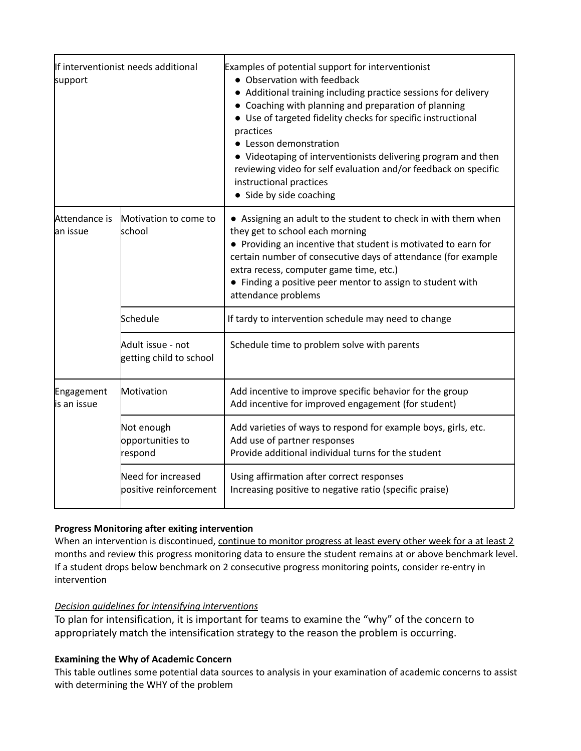| support                    | If interventionist needs additional          | Examples of potential support for interventionist<br>• Observation with feedback<br>• Additional training including practice sessions for delivery<br>• Coaching with planning and preparation of planning<br>• Use of targeted fidelity checks for specific instructional<br>practices<br>• Lesson demonstration<br>• Videotaping of interventionists delivering program and then<br>reviewing video for self evaluation and/or feedback on specific<br>instructional practices<br>• Side by side coaching |
|----------------------------|----------------------------------------------|-------------------------------------------------------------------------------------------------------------------------------------------------------------------------------------------------------------------------------------------------------------------------------------------------------------------------------------------------------------------------------------------------------------------------------------------------------------------------------------------------------------|
| Attendance is<br>lan issue | Motivation to come to<br>school              | • Assigning an adult to the student to check in with them when<br>they get to school each morning<br>• Providing an incentive that student is motivated to earn for<br>certain number of consecutive days of attendance (for example<br>extra recess, computer game time, etc.)<br>• Finding a positive peer mentor to assign to student with<br>attendance problems                                                                                                                                        |
|                            | Schedule                                     | If tardy to intervention schedule may need to change                                                                                                                                                                                                                                                                                                                                                                                                                                                        |
|                            | Adult issue - not<br>getting child to school | Schedule time to problem solve with parents                                                                                                                                                                                                                                                                                                                                                                                                                                                                 |
| Engagement<br>is an issue  | Motivation                                   | Add incentive to improve specific behavior for the group<br>Add incentive for improved engagement (for student)                                                                                                                                                                                                                                                                                                                                                                                             |
|                            | Not enough<br>opportunities to<br>respond    | Add varieties of ways to respond for example boys, girls, etc.<br>Add use of partner responses<br>Provide additional individual turns for the student                                                                                                                                                                                                                                                                                                                                                       |
|                            | Need for increased<br>positive reinforcement | Using affirmation after correct responses<br>Increasing positive to negative ratio (specific praise)                                                                                                                                                                                                                                                                                                                                                                                                        |

## **Progress Monitoring after exiting intervention**

When an intervention is discontinued, continue to monitor progress at least every other week for a at least 2 months and review this progress monitoring data to ensure the student remains at or above benchmark level. If a student drops below benchmark on 2 consecutive progress monitoring points, consider re-entry in intervention

### *Decision guidelines for intensifying interventions*

To plan for intensification, it is important for teams to examine the "why" of the concern to appropriately match the intensification strategy to the reason the problem is occurring.

### **Examining the Why of Academic Concern**

This table outlines some potential data sources to analysis in your examination of academic concerns to assist with determining the WHY of the problem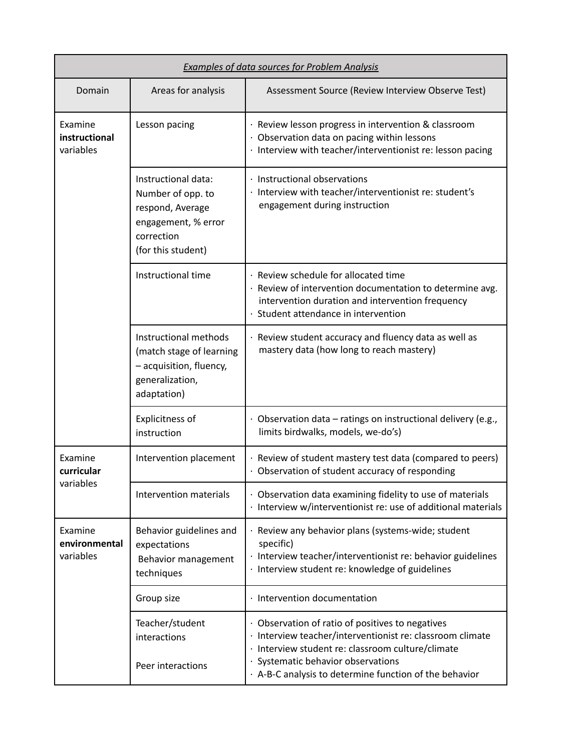| <b>Examples of data sources for Problem Analysis</b> |                                                                                                                         |                                                                                                                                                                                                                                                                |
|------------------------------------------------------|-------------------------------------------------------------------------------------------------------------------------|----------------------------------------------------------------------------------------------------------------------------------------------------------------------------------------------------------------------------------------------------------------|
| Domain                                               | Areas for analysis                                                                                                      | Assessment Source (Review Interview Observe Test)                                                                                                                                                                                                              |
| Examine<br>instructional<br>variables                | Lesson pacing                                                                                                           | · Review lesson progress in intervention & classroom<br>· Observation data on pacing within lessons<br>· Interview with teacher/interventionist re: lesson pacing                                                                                              |
|                                                      | Instructional data:<br>Number of opp. to<br>respond, Average<br>engagement, % error<br>correction<br>(for this student) | · Instructional observations<br>· Interview with teacher/interventionist re: student's<br>engagement during instruction                                                                                                                                        |
|                                                      | Instructional time                                                                                                      | · Review schedule for allocated time<br>· Review of intervention documentation to determine avg.<br>intervention duration and intervention frequency<br>Student attendance in intervention                                                                     |
|                                                      | Instructional methods<br>(match stage of learning<br>- acquisition, fluency,<br>generalization,<br>adaptation)          | · Review student accuracy and fluency data as well as<br>mastery data (how long to reach mastery)                                                                                                                                                              |
|                                                      | <b>Explicitness of</b><br>instruction                                                                                   | $\cdot$ Observation data – ratings on instructional delivery (e.g.,<br>limits birdwalks, models, we-do's)                                                                                                                                                      |
| Examine<br>curricular<br>variables                   | Intervention placement                                                                                                  | · Review of student mastery test data (compared to peers)<br>· Observation of student accuracy of responding                                                                                                                                                   |
|                                                      | <b>Intervention materials</b>                                                                                           | · Observation data examining fidelity to use of materials<br>· Interview w/interventionist re: use of additional materials                                                                                                                                     |
| Examine<br>environmental<br>variables                | Behavior guidelines and<br>expectations<br>Behavior management<br>techniques                                            | Review any behavior plans (systems-wide; student<br>specific)<br>· Interview teacher/interventionist re: behavior guidelines<br>· Interview student re: knowledge of guidelines                                                                                |
|                                                      | Group size                                                                                                              | · Intervention documentation                                                                                                                                                                                                                                   |
|                                                      | Teacher/student<br>interactions<br>Peer interactions                                                                    | · Observation of ratio of positives to negatives<br>· Interview teacher/interventionist re: classroom climate<br>Interview student re: classroom culture/climate<br>Systematic behavior observations<br>. A-B-C analysis to determine function of the behavior |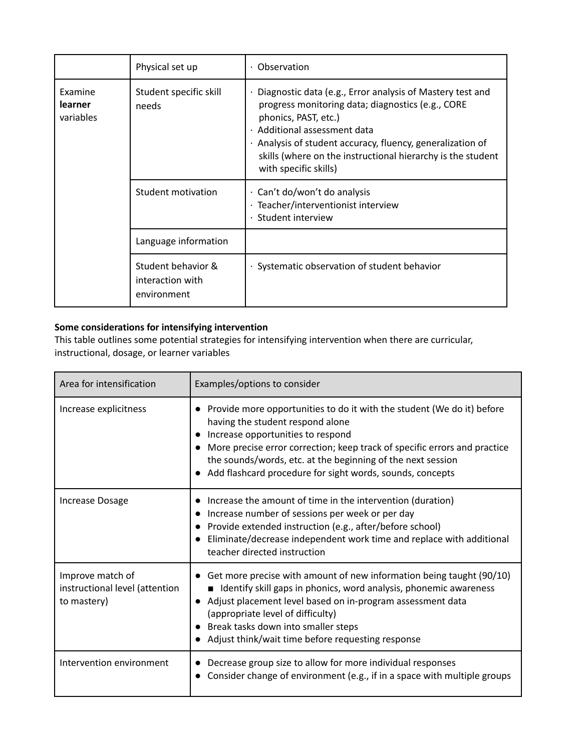|                                                                    | Physical set up                                       | Observation                                                                                                                                                                                                                                                                                                                             |
|--------------------------------------------------------------------|-------------------------------------------------------|-----------------------------------------------------------------------------------------------------------------------------------------------------------------------------------------------------------------------------------------------------------------------------------------------------------------------------------------|
| Examine<br>Student specific skill<br>learner<br>needs<br>variables |                                                       | Diagnostic data (e.g., Error analysis of Mastery test and<br>progress monitoring data; diagnostics (e.g., CORE<br>phonics, PAST, etc.)<br>· Additional assessment data<br>Analysis of student accuracy, fluency, generalization of<br>$\bullet$<br>skills (where on the instructional hierarchy is the student<br>with specific skills) |
|                                                                    | Student motivation                                    | Can't do/won't do analysis<br>$\bullet$<br>Teacher/interventionist interview<br>$\bullet$<br>· Student interview                                                                                                                                                                                                                        |
|                                                                    | Language information                                  |                                                                                                                                                                                                                                                                                                                                         |
|                                                                    | Student behavior &<br>interaction with<br>environment | · Systematic observation of student behavior                                                                                                                                                                                                                                                                                            |

# **Some considerations for intensifying intervention**

This table outlines some potential strategies for intensifying intervention when there are curricular, instructional, dosage, or learner variables

| Area for intensification                                          | Examples/options to consider                                                                                                                                                                                                                                                                                                                             |
|-------------------------------------------------------------------|----------------------------------------------------------------------------------------------------------------------------------------------------------------------------------------------------------------------------------------------------------------------------------------------------------------------------------------------------------|
| Increase explicitness                                             | Provide more opportunities to do it with the student (We do it) before<br>having the student respond alone<br>Increase opportunities to respond<br>More precise error correction; keep track of specific errors and practice<br>the sounds/words, etc. at the beginning of the next session<br>Add flashcard procedure for sight words, sounds, concepts |
| <b>Increase Dosage</b>                                            | Increase the amount of time in the intervention (duration)<br>Increase number of sessions per week or per day<br>Provide extended instruction (e.g., after/before school)<br>Eliminate/decrease independent work time and replace with additional<br>teacher directed instruction                                                                        |
| Improve match of<br>instructional level (attention<br>to mastery) | Get more precise with amount of new information being taught (90/10)<br>■ Identify skill gaps in phonics, word analysis, phonemic awareness<br>Adjust placement level based on in-program assessment data<br>(appropriate level of difficulty)<br>Break tasks down into smaller steps<br>Adjust think/wait time before requesting response               |
| Intervention environment                                          | Decrease group size to allow for more individual responses<br>Consider change of environment (e.g., if in a space with multiple groups                                                                                                                                                                                                                   |